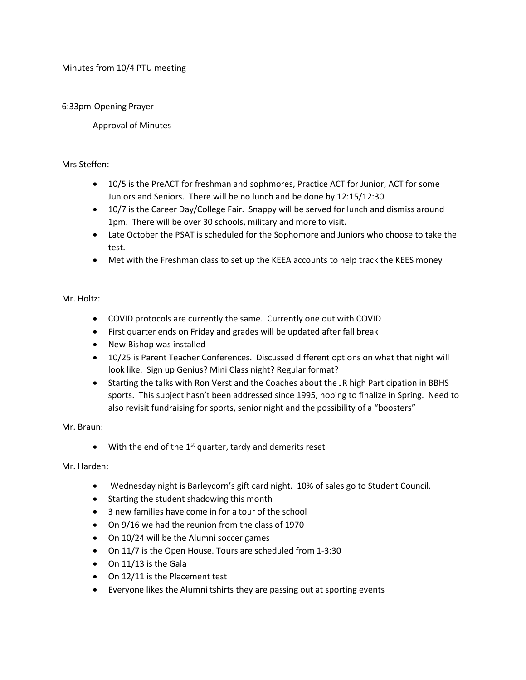Minutes from 10/4 PTU meeting

# 6:33pm-Opening Prayer

Approval of Minutes

## Mrs Steffen:

- 10/5 is the PreACT for freshman and sophmores, Practice ACT for Junior, ACT for some Juniors and Seniors. There will be no lunch and be done by 12:15/12:30
- 10/7 is the Career Day/College Fair. Snappy will be served for lunch and dismiss around 1pm. There will be over 30 schools, military and more to visit.
- Late October the PSAT is scheduled for the Sophomore and Juniors who choose to take the test.
- Met with the Freshman class to set up the KEEA accounts to help track the KEES money

## Mr. Holtz:

- COVID protocols are currently the same. Currently one out with COVID
- First quarter ends on Friday and grades will be updated after fall break
- New Bishop was installed
- 10/25 is Parent Teacher Conferences. Discussed different options on what that night will look like. Sign up Genius? Mini Class night? Regular format?
- Starting the talks with Ron Verst and the Coaches about the JR high Participation in BBHS sports. This subject hasn't been addressed since 1995, hoping to finalize in Spring. Need to also revisit fundraising for sports, senior night and the possibility of a "boosters"

### Mr. Braun:

 $\bullet$  With the end of the 1<sup>st</sup> quarter, tardy and demerits reset

### Mr. Harden:

- Wednesday night is Barleycorn's gift card night. 10% of sales go to Student Council.
- Starting the student shadowing this month
- 3 new families have come in for a tour of the school
- On 9/16 we had the reunion from the class of 1970
- On 10/24 will be the Alumni soccer games
- On 11/7 is the Open House. Tours are scheduled from 1-3:30
- On 11/13 is the Gala
- On 12/11 is the Placement test
- Everyone likes the Alumni tshirts they are passing out at sporting events